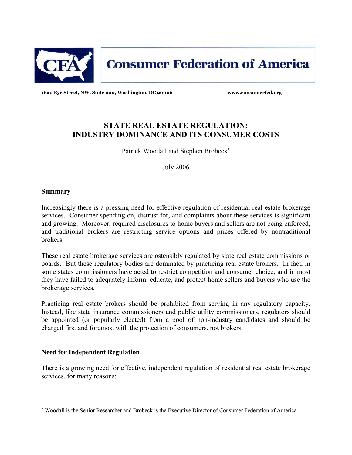

**Consumer Federation of America** 

**1620 Eye Street, NW, Suite 200, Washington, DC 20006 www.consumerfed.org** 

# **STATE REAL ESTATE REGULATION: INDUSTRY DOMINANCE AND ITS CONSUMER COSTS**

Patrick Woodall and Stephen Brobeck<sup>\*</sup>

July 2006

### **Summary**

 $\overline{\phantom{0}}$ 

Increasingly there is a pressing need for effective regulation of residential real estate brokerage services. Consumer spending on, distrust for, and complaints about these services is significant and growing. Moreover, required disclosures to home buyers and sellers are not being enforced, and traditional brokers are restricting service options and prices offered by nontraditional brokers.

These real estate brokerage services are ostensibly regulated by state real estate commissions or boards. But these regulatory bodies are dominated by practicing real estate brokers. In fact, in some states commissioners have acted to restrict competition and consumer choice, and in most they have failed to adequately inform, educate, and protect home sellers and buyers who use the brokerage services.

Practicing real estate brokers should be prohibited from serving in any regulatory capacity. Instead, like state insurance commissioners and public utility commissioners, regulators should be appointed (or popularly elected) from a pool of non-industry candidates and should be charged first and foremost with the protection of consumers, not brokers.

# **Need for Independent Regulation**

There is a growing need for effective, independent regulation of residential real estate brokerage services, for many reasons:

<sup>∗</sup> Woodall is the Senior Researcher and Brobeck is the Executive Director of Consumer Federation of America.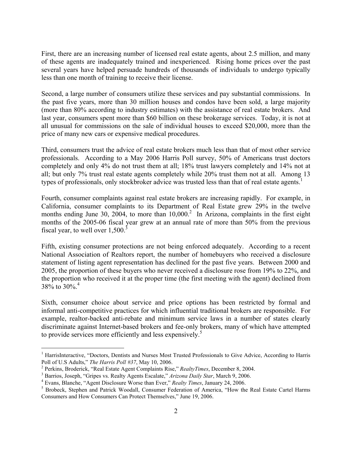First, there are an increasing number of licensed real estate agents, about 2.5 million, and many of these agents are inadequately trained and inexperienced. Rising home prices over the past several years have helped persuade hundreds of thousands of individuals to undergo typically less than one month of training to receive their license.

Second, a large number of consumers utilize these services and pay substantial commissions. In the past five years, more than 30 million houses and condos have been sold, a large majority (more than 80% according to industry estimates) with the assistance of real estate brokers. And last year, consumers spent more than \$60 billion on these brokerage services. Today, it is not at all unusual for commissions on the sale of individual houses to exceed \$20,000, more than the price of many new cars or expensive medical procedures.

Third, consumers trust the advice of real estate brokers much less than that of most other service professionals. According to a May 2006 Harris Poll survey, 50% of Americans trust doctors completely and only 4% do not trust them at all; 18% trust lawyers completely and 14% not at all; but only 7% trust real estate agents completely while 20% trust them not at all. Among 13 types of professionals, only stockbroker advice was trusted less than that of real estate agents.<sup>1</sup>

Fourth, consumer complaints against real estate brokers are increasing rapidly. For example, in California, consumer complaints to its Department of Real Estate grew 29% in the twelve months ending June 30, 2004, to more than  $10,000$ <sup>2</sup> In Arizona, complaints in the first eight months of the 2005-06 fiscal year grew at an annual rate of more than 50% from the previous fiscal year, to well over  $1,500$ .<sup>3</sup>

Fifth, existing consumer protections are not being enforced adequately. According to a recent National Association of Realtors report, the number of homebuyers who received a disclosure statement of listing agent representation has declined for the past five years. Between 2000 and 2005, the proportion of these buyers who never received a disclosure rose from 19% to 22%, and the proportion who received it at the proper time (the first meeting with the agent) declined from 38\% to 30\%.<sup>4</sup>

Sixth, consumer choice about service and price options has been restricted by formal and informal anti-competitive practices for which influential traditional brokers are responsible. For example, realtor-backed anti-rebate and minimum service laws in a number of states clearly discriminate against Internet-based brokers and fee-only brokers, many of which have attempted to provide services more efficiently and less expensively.<sup>5</sup>

i

<sup>&</sup>lt;sup>1</sup> HarrisInteractive, "Doctors, Dentists and Nurses Most Trusted Professionals to Give Advice, According to Harris Poll of U.S Adults," *The Harris Poll #37*, May 10, 2006. 2

<sup>&</sup>lt;sup>2</sup> Perkins, Broderick, "Real Estate Agent Complaints Rise," *RealtyTimes*, December 8, 2004.

<sup>&</sup>lt;sup>3</sup> Barrios, Joseph, "Gripes vs. Realty Agents Escalate," Arizona Daily Star, March 9, 2006.

Evans, Blanche, "Agent Disclosure Worse than Ever," *Realty Times*, January 24, 2006. 5

<sup>&</sup>lt;sup>5</sup> Brobeck, Stephen and Patrick Woodall, Consumer Federation of America, "How the Real Estate Cartel Harms" Consumers and How Consumers Can Protect Themselves," June 19, 2006.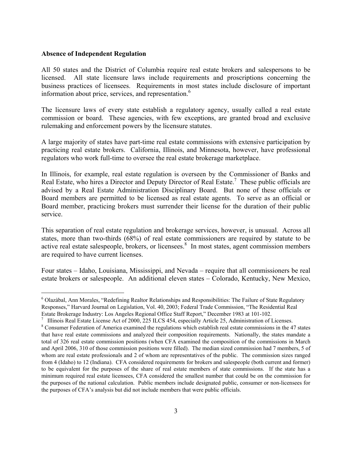#### **Absence of Independent Regulation**

 $\overline{\phantom{0}}$ 

All 50 states and the District of Columbia require real estate brokers and salespersons to be licensed. All state licensure laws include requirements and proscriptions concerning the business practices of licensees. Requirements in most states include disclosure of important information about price, services, and representation.<sup>6</sup>

The licensure laws of every state establish a regulatory agency, usually called a real estate commission or board. These agencies, with few exceptions, are granted broad and exclusive rulemaking and enforcement powers by the licensure statutes.

A large majority of states have part-time real estate commissions with extensive participation by practicing real estate brokers. California, Illinois, and Minnesota, however, have professional regulators who work full-time to oversee the real estate brokerage marketplace.

In Illinois, for example, real estate regulation is overseen by the Commissioner of Banks and Real Estate, who hires a Director and Deputy Director of Real Estate.<sup>7</sup> These public officials are advised by a Real Estate Administration Disciplinary Board. But none of these officials or Board members are permitted to be licensed as real estate agents. To serve as an official or Board member, practicing brokers must surrender their license for the duration of their public service.

This separation of real estate regulation and brokerage services, however, is unusual. Across all states, more than two-thirds (68%) of real estate commissioners are required by statute to be active real estate salespeople, brokers, or licensees.<sup>8</sup> In most states, agent commission members are required to have current licenses.

Four states – Idaho, Louisiana, Mississippi, and Nevada – require that all commissioners be real estate brokers or salespeople. An additional eleven states – Colorado, Kentucky, New Mexico,

<sup>&</sup>lt;sup>6</sup> Olazàbal, Ann Morales, "Redefining Realtor Relationships and Responsibilities: The Failure of State Regulatory Responses," Harvard Journal on Legislation, Vol. 40, 2003; Federal Trade Commission, "The Residential Real Estate Brokerage Industry: Los Angeles Regional Office Staff Report," December 1983 at 101-102.<br><sup>7</sup> Illinois Real Estate License Act of 2000, 225 ILCS 454, especially Article 25, Administration of Licenses.

Consumer Federation of America examined the regulations which establish real estate commissions in the 47 states that have real estate commissions and analyzed their composition requirements. Nationally, the states mandate a total of 326 real estate commission positions (when CFA examined the composition of the commissions in March and April 2006, 310 of those commission positions were filled). The median sized commission had 7 members, 5 of whom are real estate professionals and 2 of whom are representatives of the public. The commission sizes ranged from 4 (Idaho) to 12 (Indiana). CFA considered requirements for brokers and salespeople (both current and former) to be equivalent for the purposes of the share of real estate members of state commissions. If the state has a minimum required real estate licensees, CFA considered the smallest number that could be on the commission for the purposes of the national calculation. Public members include designated public, consumer or non-licensees for the purposes of CFA's analysis but did not include members that were public officials.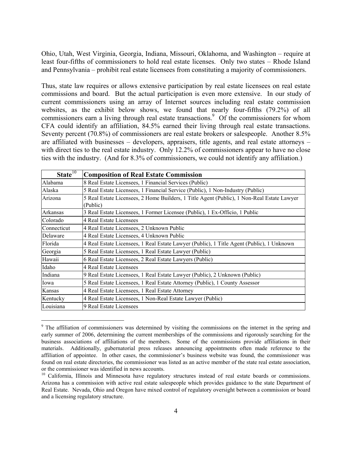Ohio, Utah, West Virginia, Georgia, Indiana, Missouri, Oklahoma, and Washington – require at least four-fifths of commissioners to hold real estate licenses. Only two states – Rhode Island and Pennsylvania – prohibit real estate licensees from constituting a majority of commissioners.

Thus, state law requires or allows extensive participation by real estate licensees on real estate commissions and board. But the actual participation is even more extensive. In our study of current commissioners using an array of Internet sources including real estate commission websites, as the exhibit below shows, we found that nearly four-fifths (79.2%) of all commissioners earn a living through real estate transactions.<sup>9</sup> Of the commissioners for whom CFA could identify an affiliation, 84.5% earned their living through real estate transactions. Seventy percent (70.8%) of commissioners are real estate brokers or salespeople. Another 8.5% are affiliated with businesses – developers, appraisers, title agents, and real estate attorneys – with direct ties to the real estate industry. Only 12.2% of commissioners appear to have no close ties with the industry. (And for 8.3% of commissioners, we could not identify any affiliation.)

| State <sup>10</sup> | <b>Composition of Real Estate Commission</b>                                                           |
|---------------------|--------------------------------------------------------------------------------------------------------|
| Alabama             | 8 Real Estate Licensees, 1 Financial Services (Public)                                                 |
| Alaska              | 5 Real Estate Licensees, 1 Financial Service (Public), 1 Non-Industry (Public)                         |
| Arizona             | 5 Real Estate Licensees, 2 Home Builders, 1 Title Agent (Public), 1 Non-Real Estate Lawyer<br>(Public) |
| Arkansas            | 3 Real Estate Licensees, 1 Former Licensee (Public), 1 Ex-Officio, 1 Public                            |
| Colorado            | 4 Real Estate Licensees                                                                                |
| Connecticut         | 4 Real Estate Licensees, 2 Unknown Public                                                              |
| Delaware            | 4 Real Estate Licensees, 4 Unknown Public                                                              |
| Florida             | 4 Real Estate Licensees, 1 Real Estate Lawyer (Public), 1 Title Agent (Public), 1 Unknown              |
| Georgia             | 5 Real Estate Licensees, 1 Real Estate Lawyer (Public)                                                 |
| Hawaii              | 6 Real Estate Licensees, 2 Real Estate Lawyers (Public)                                                |
| Idaho               | 4 Real Estate Licensees                                                                                |
| Indiana             | 9 Real Estate Licensees, 1 Real Estate Lawyer (Public), 2 Unknown (Public)                             |
| Iowa                | 5 Real Estate Licensees, 1 Real Estate Attorney (Public), 1 County Assessor                            |
| Kansas              | 4 Real Estate Licensees, 1 Real Estate Attorney                                                        |
| Kentucky            | 4 Real Estate Licensees, 1 Non-Real Estate Lawyer (Public)                                             |
| Louisiana           | 9 Real Estate Licensees                                                                                |

<sup>&</sup>lt;sup>9</sup> The affiliation of commissioners was determined by visiting the commissions on the internet in the spring and early summer of 2006, determining the current memberships of the commissions and rigorously searching for the business associations of affiliations of the members. Some of the commissions provide affiliations in their materials. Additionally, gubernatorial press releases announcing appointments often made reference to the affiliation of appointee. In other cases, the commissioner's business website was found, the commissioner was found on real estate directories, the commissioner was listed as an active member of the state real estate association, or the commissioner was identified in news accounts.

<sup>&</sup>lt;sup>10</sup> California, Illinois and Minnesota have regulatory structures instead of real estate boards or commissions. Arizona has a commission with active real estate salespeople which provides guidance to the state Department of Real Estate. Nevada, Ohio and Oregon have mixed control of regulatory oversight between a commission or board and a licensing regulatory structure.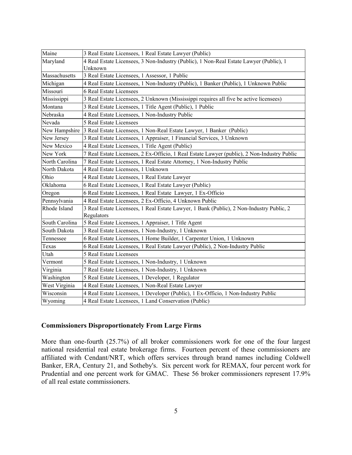| Maine          | 3 Real Estate Licensees, 1 Real Estate Lawyer (Public)                                                 |
|----------------|--------------------------------------------------------------------------------------------------------|
| Maryland       | 4 Real Estate Licensees, 3 Non-Industry (Public), 1 Non-Real Estate Lawyer (Public), 1<br>Unknown      |
| Massachusetts  | 3 Real Estate Licensees, 1 Assessor, 1 Public                                                          |
| Michigan       | 4 Real Estate Licensees, 1 Non-Industry (Public), 1 Banker (Public), 1 Unknown Public                  |
| Missouri       | <b>6 Real Estate Licensees</b>                                                                         |
| Mississippi    | 3 Real Estate Licensees, 2 Unknown (Mississippi requires all five be active licensees)                 |
| Montana        | 3 Real Estate Licensees, 1 Title Agent (Public), 1 Public                                              |
| Nebraska       | 4 Real Estate Licensees, 1 Non-Industry Public                                                         |
| Nevada         | 5 Real Estate Licensees                                                                                |
| New Hampshire  | 3 Real Estate Licensees, 1 Non-Real Estate Lawyer, 1 Banker (Public)                                   |
| New Jersey     | 3 Real Estate Licensees, 1 Appraiser, 1 Financial Services, 3 Unknown                                  |
| New Mexico     | 4 Real Estate Licensees, 1 Title Agent (Public)                                                        |
| New York       | 7 Real Estate Licensees, 2 Ex-Officio, 1 Real Estate Lawyer (public), 2 Non-Industry Public            |
| North Carolina | 7 Real Estate Licensees, 1 Real Estate Attorney, 1 Non-Industry Public                                 |
| North Dakota   | 4 Real Estate Licensees, 1 Unknown                                                                     |
| Ohio           | 4 Real Estate Licensees, 1 Real Estate Lawyer                                                          |
| Oklahoma       | 6 Real Estate Licensees, 1 Real Estate Lawyer (Public)                                                 |
| Oregon         | 6 Real Estate Licensees, 1 Real Estate Lawyer, 1 Ex-Officio                                            |
| Pennsylvania   | 4 Real Estate Licensees, 2 Ex-Officio, 4 Unknown Public                                                |
| Rhode Island   | 3 Real Estate Licensees, 1 Real Estate Lawyer, 1 Bank (Public), 2 Non-Industry Public, 2<br>Regulators |
| South Carolina | 5 Real Estate Licensees, 1 Appraiser, 1 Title Agent                                                    |
| South Dakota   | 3 Real Estate Licensees, 1 Non-Industry, 1 Unknown                                                     |
| Tennessee      | 6 Real Estate Licensees, 1 Home Builder, 1 Carpenter Union, 1 Unknown                                  |
| Texas          | 6 Real Estate Licensees, 1 Real Estate Lawyer (Public), 2 Non-Industry Public                          |
| Utah           | 5 Real Estate Licensees                                                                                |
| Vermont        | 5 Real Estate Licensees, 1 Non-Industry, 1 Unknown                                                     |
| Virginia       | 7 Real Estate Licensees, 1 Non-Industry, 1 Unknown                                                     |
| Washington     | 5 Real Estate Licensees, 1 Developer, 1 Regulator                                                      |
| West Virginia  | 4 Real Estate Licensees, 1 Non-Real Estate Lawyer                                                      |
| Wisconsin      | 4 Real Estate Licensees, 1 Developer (Public), 1 Ex-Officio, 1 Non-Industry Public                     |
| Wyoming        | 4 Real Estate Licensees, 1 Land Conservation (Public)                                                  |

# **Commissioners Disproportionately From Large Firms**

More than one-fourth (25.7%) of all broker commissioners work for one of the four largest national residential real estate brokerage firms. Fourteen percent of these commissioners are affiliated with Cendant/NRT, which offers services through brand names including Coldwell Banker, ERA, Century 21, and Sotheby's. Six percent work for REMAX, four percent work for Prudential and one percent work for GMAC. These 56 broker commissioners represent 17.9% of all real estate commissioners.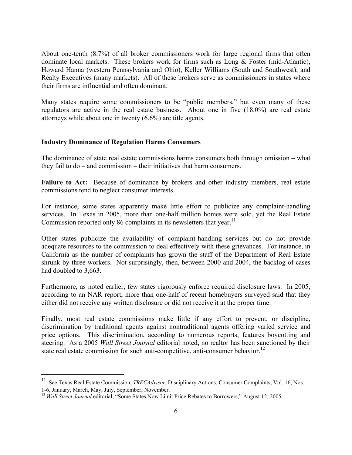About one-tenth (8.7%) of all broker commissioners work for large regional firms that often dominate local markets. These brokers work for firms such as Long & Foster (mid-Atlantic), Howard Hanna (western Pennsylvania and Ohio), Keller Williams (South and Southwest), and Realty Executives (many markets). All of these brokers serve as commissioners in states where their firms are influential and often dominant.

Many states require some commissioners to be "public members," but even many of these regulators are active in the real estate business. About one in five (18.0%) are real estate attorneys while about one in twenty (6.6%) are title agents.

#### **Industry Dominance of Regulation Harms Consumers**

The dominance of state real estate commissions harms consumers both through omission – what they fail to do – and commission – their initiatives that harm consumers.

Failure to Act: Because of dominance by brokers and other industry members, real estate commissions tend to neglect consumer interests.

For instance, some states apparently make little effort to publicize any complaint-handling services. In Texas in 2005, more than one-half million homes were sold, yet the Real Estate Commission reported only 86 complaints in its newsletters that year.<sup>11</sup>

Other states publicize the availability of complaint-handling services but do not provide adequate resources to the commission to deal effectively with these grievances. For instance, in California as the number of complaints has grown the staff of the Department of Real Estate shrunk by three workers. Not surprisingly, then, between 2000 and 2004, the backlog of cases had doubled to 3,663.

Furthermore, as noted earlier, few states rigorously enforce required disclosure laws. In 2005, according to an NAR report, more than one-half of recent homebuyers surveyed said that they either did not receive any written disclosure or did not receive it at the proper time.

Finally, most real estate commissions make little if any effort to prevent, or discipline, discrimination by traditional agents against nontraditional agents offering varied service and price options. This discrimination, according to numerous reports, features boycotting and steering. As a 2005 *Wall Street Journal* editorial noted, no realtor has been sanctioned by their state real estate commission for such anti-competitive, anti-consumer behavior.<sup>12</sup>

 $\overline{\phantom{0}}$ 

<sup>&</sup>lt;sup>11</sup> See Texas Real Estate Commission, *TRECAdvisor*, Disciplinary Actions, Consumer Complaints, Vol. 16, Nos. 1-6, January, March, May, July, September, November.

<sup>&</sup>lt;sup>12</sup> *Wall Street Journal* editorial, "Some States Now Limit Price Rebates to Borrowers," August 12, 2005.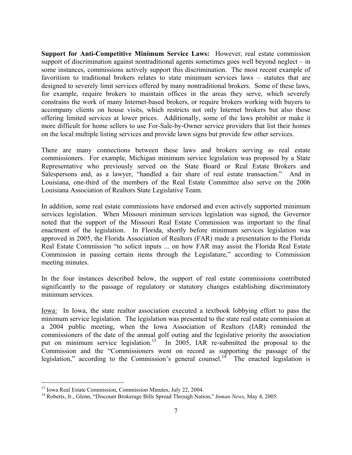**Support for Anti-Competitive Minimum Service Laws:** However, real estate commission support of discrimination against nontraditional agents sometimes goes well beyond neglect – in some instances, commissions actively support this discrimination. The most recent example of favoritism to traditional brokers relates to state minimum services laws – statutes that are designed to severely limit services offered by many nontraditional brokers. Some of these laws, for example, require brokers to maintain offices in the areas they serve, which severely constrains the work of many Internet-based brokers, or require brokers working with buyers to accompany clients on house visits, which restricts not only Internet brokers but also those offering limited services at lower prices. Additionally, some of the laws prohibit or make it more difficult for home sellers to use For-Sale-by-Owner service providers that list their homes on the local multiple listing services and provide lawn signs but provide few other services.

There are many connections between these laws and brokers serving as real estate commissioners. For example, Michigan minimum service legislation was proposed by a State Representative who previously served on the State Board or Real Estate Brokers and Salespersons and, as a lawyer, "handled a fair share of real estate transaction." And in Louisiana, one-third of the members of the Real Estate Committee also serve on the 2006 Louisiana Association of Realtors State Legislative Team.

In addition, some real estate commissions have endorsed and even actively supported minimum services legislation. When Missouri minimum services legislation was signed, the Governor noted that the support of the Missouri Real Estate Commission was important to the final enactment of the legislation. In Florida, shortly before minimum services legislation was approved in 2005, the Florida Association of Realtors (FAR) made a presentation to the Florida Real Estate Commission "to solicit inputs ... on how FAR may assist the Florida Real Estate Commission in passing certain items through the Legislature," according to Commission meeting minutes.

In the four instances described below, the support of real estate commissions contributed significantly to the passage of regulatory or statutory changes establishing discriminatory minimum services.

Iowa:In Iowa, the state realtor association executed a textbook lobbying effort to pass the minimum service legislation. The legislation was presented to the state real estate commission at a 2004 public meeting, when the Iowa Association of Realtors (IAR) reminded the commissioners of the date of the annual golf outing and the legislative priority the association put on minimum service legislation.<sup>13</sup> In 2005, IAR re-submitted the proposal to the Commission and the "Commissioners went on record as supporting the passage of the legislation," according to the Commission's general counsel.<sup>14</sup> The enacted legislation is

i

<sup>&</sup>lt;sup>13</sup> Iowa Real Estate Commission, Commission Minutes, July 22, 2004.

<sup>14</sup> Roberts, Jr., Glenn, "Discount Brokerage Bills Spread Through Nation," *Inman News*, May 4, 2005.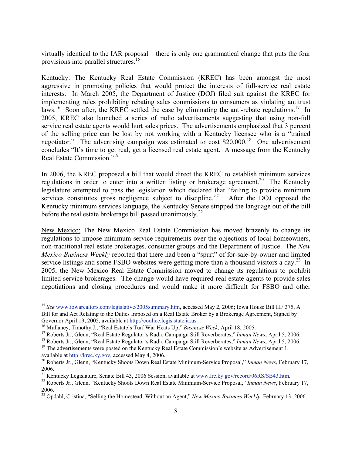virtually identical to the IAR proposal – there is only one grammatical change that puts the four provisions into parallel structures.<sup>15</sup>

Kentucky: The Kentucky Real Estate Commission (KREC) has been amongst the most aggressive in promoting policies that would protect the interests of full-service real estate interests. In March 2005, the Department of Justice (DOJ) filed suit against the KREC for implementing rules prohibiting rebating sales commissions to consumers as violating antitrust laws.<sup>16</sup> Soon after, the KREC settled the case by eliminating the anti-rebate regulations.<sup>17</sup> In 2005, KREC also launched a series of radio advertisements suggesting that using non-full service real estate agents would hurt sales prices. The advertisements emphasized that 3 percent of the selling price can be lost by not working with a Kentucky licensee who is a "trained negotiator." The advertising campaign was estimated to cost \$20,000.<sup>18</sup> One advertisement concludes "It's time to get real, get a licensed real estate agent. A message from the Kentucky Real Estate Commission."19

In 2006, the KREC proposed a bill that would direct the KREC to establish minimum services regulations in order to enter into a written listing or brokerage agreement.<sup>20</sup> The Kentucky legislature attempted to pass the legislation which declared that "failing to provide minimum services constitutes gross negligence subject to discipline.<sup>"21</sup> After the DOJ opposed the Kentucky minimum services language, the Kentucky Senate stripped the language out of the bill before the real estate brokerage bill passed unanimously.<sup>22</sup>

New Mexico: The New Mexico Real Estate Commission has moved brazenly to change its regulations to impose minimum service requirements over the objections of local homeowners, non-traditional real estate brokerages, consumer groups and the Department of Justice. The *New Mexico Business Weekly* reported that there had been a "spurt" of for-sale-by-owner and limited service listings and some FSBO websites were getting more than a thousand visitors a day.<sup>23</sup> In 2005, the New Mexico Real Estate Commission moved to change its regulations to prohibit limited service brokerages. The change would have required real estate agents to provide sales negotiations and closing procedures and would make it more difficult for FSBO and other

 $\overline{\phantom{0}}$ 

<sup>&</sup>lt;sup>15</sup> See www.iowarealtors.com/legislative/2005summary.htm, accessed May 2, 2006; Iowa House Bill HF 375, A Bill for and Act Relating to the Duties Imposed on a Real Estate Broker by a Brokerage Agreement, Signed by Governor April 19, 2005, available at http://coolice.legis.state.ia.us.<br><sup>16</sup> Mullaney, Timothy J., "Real Estate's Turf War Heats Up," *Business Week*, April 18, 2005.<br><sup>17</sup> Roberts Jr., Glenn, "Real Estate Regulator's Radio

available at http://krec.ky.gov, accessed May 4, 2006.<br><sup>20</sup> Roberts Jr., Glenn, "Kentucky Shoots Down Real Estate Minimum-Service Proposal," *Inman News*, February 17, 2006.<br><sup>21</sup> Kentucky Legislature, Senate Bill 43, 2006 Session, available at www.lrc.ky.gov/record/06RS/SB43.htm.

<sup>&</sup>lt;sup>22</sup> Roberts Jr., Glenn, "Kentucky Shoots Down Real Estate Minimum-Service Proposal," *Inman News*, February 17, 2006.

<sup>23</sup> Opdahl, Cristina, "Selling the Homestead, Without an Agent," *New Mexico Business Weekly*, February 13, 2006.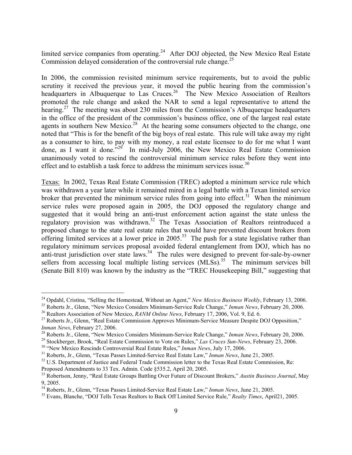limited service companies from operating.<sup>24</sup> After DOJ objected, the New Mexico Real Estate Commission delayed consideration of the controversial rule change.<sup>25</sup>

In 2006, the commission revisited minimum service requirements, but to avoid the public scrutiny it received the previous year, it moved the public hearing from the commission's headquarters in Albuquerque to Las Cruces.<sup>26</sup> The New Mexico Association of Realtors promoted the rule change and asked the NAR to send a legal representative to attend the hearing.<sup>27</sup> The meeting was about 230 miles from the Commission's Albuquerque headquarters in the office of the president of the commission's business office, one of the largest real estate agents in southern New Mexico.<sup>28</sup> At the hearing some consumers objected to the change, one noted that "This is for the benefit of the big boys of real estate. This rule will take away my right as a consumer to hire, to pay with my money, a real estate licensee to do for me what I want done, as I want it done.<sup> $29$ </sup> In mid-July 2006, the New Mexico Real Estate Commission unanimously voted to rescind the controversial minimum service rules before they went into effect and to establish a task force to address the minimum services issue.<sup>30</sup>

Texas:In 2002, Texas Real Estate Commission (TREC) adopted a minimum service rule which was withdrawn a year later while it remained mired in a legal battle with a Texan limited service broker that prevented the minimum service rules from going into effect.<sup>31</sup> When the minimum service rules were proposed again in 2005, the DOJ opposed the regulatory change and suggested that it would bring an anti-trust enforcement action against the state unless the regulatory provision was withdrawn.32 The Texas Association of Realtors reintroduced a proposed change to the state real estate rules that would have prevented discount brokers from offering limited services at a lower price in  $2005<sup>33</sup>$ . The push for a state legislative rather than regulatory minimum services proposal avoided federal entanglement from DOJ, which has no anti-trust jurisdiction over state laws.<sup>34</sup> The rules were designed to prevent for-sale-by-owner sellers from accessing local multiple listing services  $(MLSs)$ <sup>35</sup>. The minimum services bill (Senate Bill 810) was known by the industry as the "TREC Housekeeping Bill," suggesting that

<sup>&</sup>lt;sup>24</sup> Opdahl, Cristina, "Selling the Homestead, Without an Agent," New Mexico Business Weekly, February 13, 2006.

<sup>&</sup>lt;sup>25</sup> Roberts Jr., Glenn, "New Mexico Considers Minimum-Service Rule Change," *Inman News*, February 20, 2006.<br><sup>26</sup> Realtors Association of New Mexico, *RANM Online News*, February 17, 2006, Vol. 9, Ed. 6.<br><sup>27</sup> Roberts Jr.

*Inman News*, February 27, 2006.<br><sup>28</sup> Roberts Jr., Glenn, "New Mexico Considers Minimum-Service Rule Change," *Inman News*, February 20, 2006.<br><sup>29</sup> Stockberger, Brook, "Real Estate Commission to Vote on Rules," *Las Cruces* 

Proposed Amendments to 33 Tex. Admin. Code §535.2, April 20, 2005.

<sup>33</sup> Robertson, Jenny, "Real Estate Groups Battling Over Future of Discount Brokers," *Austin Business Journal*, May 9, 2005.<br><sup>34</sup> Roberts, Jr., Glenn. "Texas Passes Limited-Service Real Estate Law." *Inman News*. June 21, 2005.

<sup>&</sup>lt;sup>35</sup> Evans, Blanche, "DOJ Tells Texas Realtors to Back Off Limited Service Rule," *Realty Times*, April21, 2005.